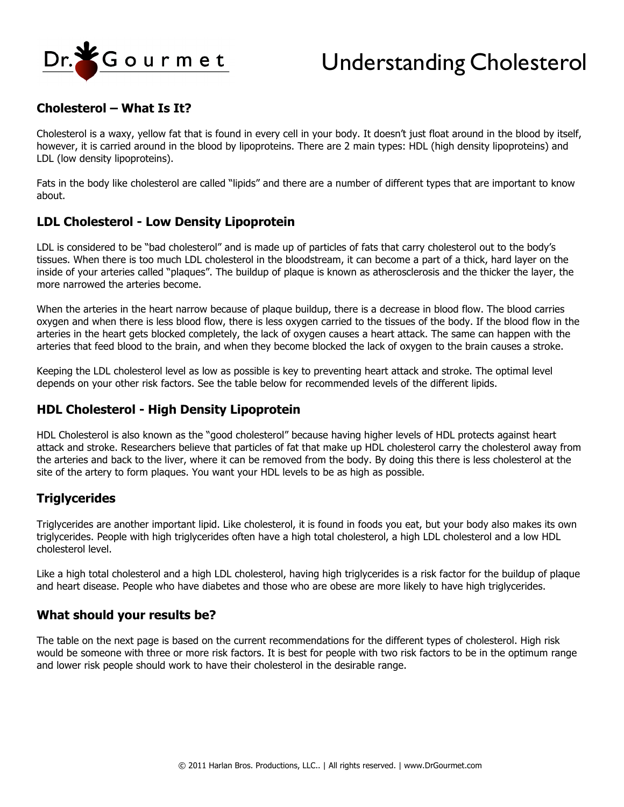

# Understanding Cholesterol

## **Cholesterol – What Is It?**

Cholesterol is a waxy, yellow fat that is found in every cell in your body. It doesn't just float around in the blood by itself, however, it is carried around in the blood by lipoproteins. There are 2 main types: HDL (high density lipoproteins) and LDL (low density lipoproteins).

Fats in the body like cholesterol are called "lipids" and there are a number of different types that are important to know about.

#### **LDL Cholesterol - Low Density Lipoprotein**

LDL is considered to be "bad cholesterol" and is made up of particles of fats that carry cholesterol out to the body's tissues. When there is too much LDL cholesterol in the bloodstream, it can become a part of a thick, hard layer on the inside of your arteries called "plaques". The buildup of plaque is known as atherosclerosis and the thicker the layer, the more narrowed the arteries become.

When the arteries in the heart narrow because of plaque buildup, there is a decrease in blood flow. The blood carries oxygen and when there is less blood flow, there is less oxygen carried to the tissues of the body. If the blood flow in the arteries in the heart gets blocked completely, the lack of oxygen causes a heart attack. The same can happen with the arteries that feed blood to the brain, and when they become blocked the lack of oxygen to the brain causes a stroke.

Keeping the LDL cholesterol level as low as possible is key to preventing heart attack and stroke. The optimal level depends on your other risk factors. See the table below for recommended levels of the different lipids.

#### **HDL Cholesterol - High Density Lipoprotein**

HDL Cholesterol is also known as the "good cholesterol" because having higher levels of HDL protects against heart attack and stroke. Researchers believe that particles of fat that make up HDL cholesterol carry the cholesterol away from the arteries and back to the liver, where it can be removed from the body. By doing this there is less cholesterol at the site of the artery to form plaques. You want your HDL levels to be as high as possible.

### **Triglycerides**

Triglycerides are another important lipid. Like cholesterol, it is found in foods you eat, but your body also makes its own triglycerides. People with high triglycerides often have a high total cholesterol, a high LDL cholesterol and a low HDL cholesterol level.

Like a high total cholesterol and a high LDL cholesterol, having high triglycerides is a risk factor for the buildup of plaque and heart disease. People who have diabetes and those who are obese are more likely to have high triglycerides.

#### **What should your results be?**

The table on the next page is based on the current recommendations for the different types of cholesterol. High risk would be someone with three or more risk factors. It is best for people with two risk factors to be in the optimum range and lower risk people should work to have their cholesterol in the desirable range.